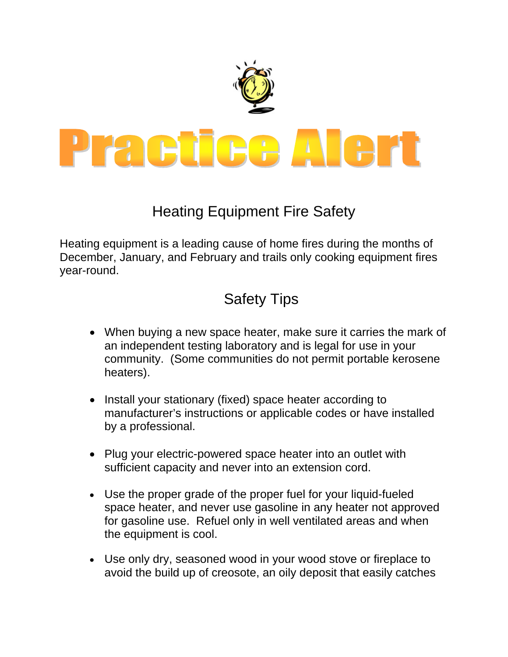

## Heating Equipment Fire Safety

Heating equipment is a leading cause of home fires during the months of December, January, and February and trails only cooking equipment fires year-round.

## Safety Tips

- When buying a new space heater, make sure it carries the mark of an independent testing laboratory and is legal for use in your community. (Some communities do not permit portable kerosene heaters).
- Install your stationary (fixed) space heater according to manufacturer's instructions or applicable codes or have installed by a professional.
- Plug your electric-powered space heater into an outlet with sufficient capacity and never into an extension cord.
- Use the proper grade of the proper fuel for your liquid-fueled space heater, and never use gasoline in any heater not approved for gasoline use. Refuel only in well ventilated areas and when the equipment is cool.
- Use only dry, seasoned wood in your wood stove or fireplace to avoid the build up of creosote, an oily deposit that easily catches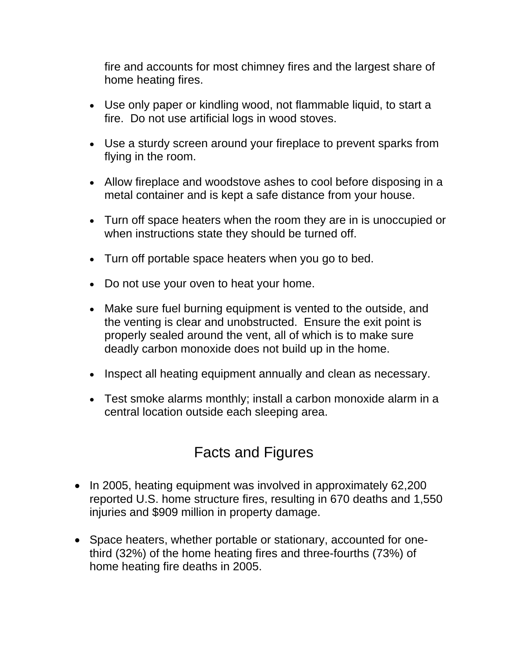fire and accounts for most chimney fires and the largest share of home heating fires.

- Use only paper or kindling wood, not flammable liquid, to start a fire. Do not use artificial logs in wood stoves.
- Use a sturdy screen around your fireplace to prevent sparks from flying in the room.
- Allow fireplace and woodstove ashes to cool before disposing in a metal container and is kept a safe distance from your house.
- Turn off space heaters when the room they are in is unoccupied or when instructions state they should be turned off.
- Turn off portable space heaters when you go to bed.
- Do not use your oven to heat your home.
- Make sure fuel burning equipment is vented to the outside, and the venting is clear and unobstructed. Ensure the exit point is properly sealed around the vent, all of which is to make sure deadly carbon monoxide does not build up in the home.
- Inspect all heating equipment annually and clean as necessary.
- Test smoke alarms monthly; install a carbon monoxide alarm in a central location outside each sleeping area.

## Facts and Figures

- In 2005, heating equipment was involved in approximately 62,200 reported U.S. home structure fires, resulting in 670 deaths and 1,550 injuries and \$909 million in property damage.
- Space heaters, whether portable or stationary, accounted for onethird (32%) of the home heating fires and three-fourths (73%) of home heating fire deaths in 2005.